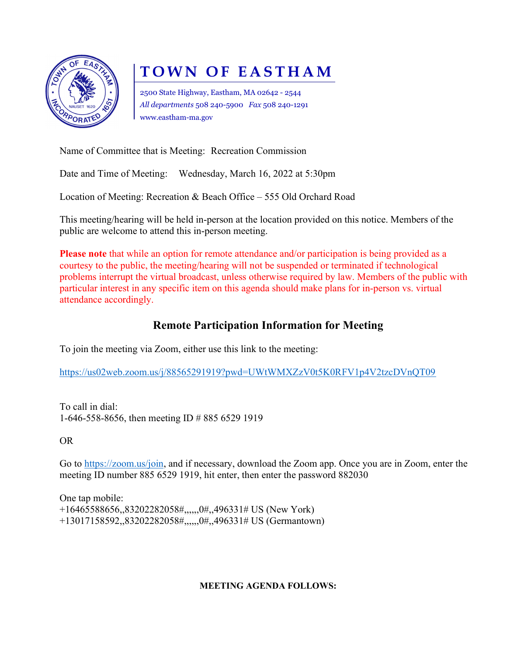

# TOWN OF EASTHAM

2500 State Highway, Eastham, MA 02642 - 2544 All departments 508 240-5900 Fax 508 240-1291 www.eastham-ma.gov

Name of Committee that is Meeting: Recreation Commission

Date and Time of Meeting: Wednesday, March 16, 2022 at 5:30pm

Location of Meeting: Recreation & Beach Office – 555 Old Orchard Road

This meeting/hearing will be held in-person at the location provided on this notice. Members of the public are welcome to attend this in-person meeting.

Please note that while an option for remote attendance and/or participation is being provided as a courtesy to the public, the meeting/hearing will not be suspended or terminated if technological problems interrupt the virtual broadcast, unless otherwise required by law. Members of the public with particular interest in any specific item on this agenda should make plans for in-person vs. virtual attendance accordingly.

### Remote Participation Information for Meeting

To join the meeting via Zoom, either use this link to the meeting:

https://us02web.zoom.us/j/88565291919?pwd=UWtWMXZzV0t5K0RFV1p4V2tzcDVnQT09

To call in dial: 1-646-558-8656, then meeting ID # 885 6529 1919

OR

Go to https://zoom.us/join, and if necessary, download the Zoom app. Once you are in Zoom, enter the meeting ID number 885 6529 1919, hit enter, then enter the password 882030

One tap mobile: +16465588656,,83202282058#,,,,,,0#,,496331# US (New York) +13017158592,,83202282058#,,,,,,0#,,496331# US (Germantown)

#### MEETING AGENDA FOLLOWS: